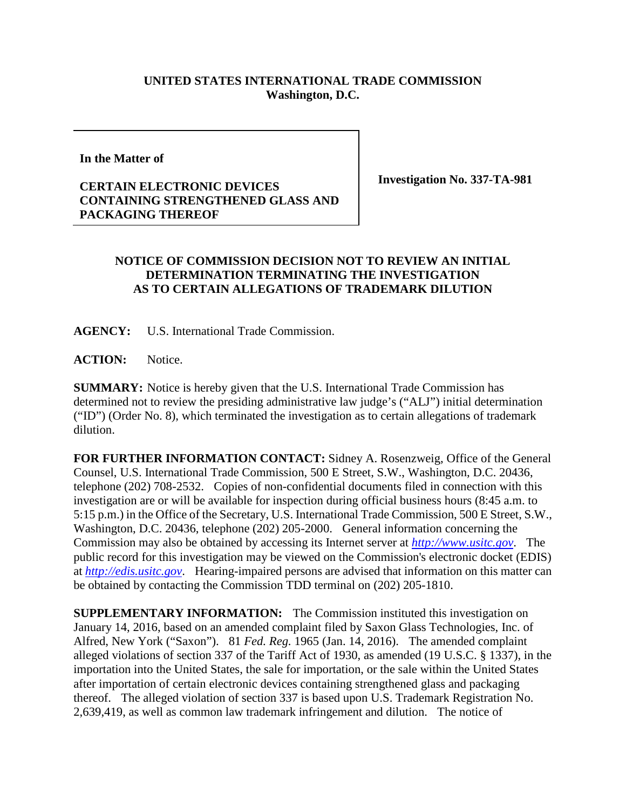## **UNITED STATES INTERNATIONAL TRADE COMMISSION Washington, D.C.**

**In the Matter of**

## **CERTAIN ELECTRONIC DEVICES CONTAINING STRENGTHENED GLASS AND PACKAGING THEREOF**

**Investigation No. 337-TA-981**

## **NOTICE OF COMMISSION DECISION NOT TO REVIEW AN INITIAL DETERMINATION TERMINATING THE INVESTIGATION AS TO CERTAIN ALLEGATIONS OF TRADEMARK DILUTION**

**AGENCY:** U.S. International Trade Commission.

ACTION: Notice.

**SUMMARY:** Notice is hereby given that the U.S. International Trade Commission has determined not to review the presiding administrative law judge's ("ALJ") initial determination ("ID") (Order No. 8), which terminated the investigation as to certain allegations of trademark dilution.

**FOR FURTHER INFORMATION CONTACT:** Sidney A. Rosenzweig, Office of the General Counsel, U.S. International Trade Commission, 500 E Street, S.W., Washington, D.C. 20436, telephone (202) 708-2532. Copies of non-confidential documents filed in connection with this investigation are or will be available for inspection during official business hours (8:45 a.m. to 5:15 p.m.) in the Office of the Secretary, U.S. International Trade Commission, 500 E Street, S.W., Washington, D.C. 20436, telephone (202) 205-2000. General information concerning the Commission may also be obtained by accessing its Internet server at *[http://www.usitc.gov](http://www.usitc.gov/)*. The public record for this investigation may be viewed on the Commission's electronic docket (EDIS) at *[http://edis.usitc.gov](http://edis.usitc.gov/)*. Hearing-impaired persons are advised that information on this matter can be obtained by contacting the Commission TDD terminal on (202) 205-1810.

**SUPPLEMENTARY INFORMATION:** The Commission instituted this investigation on January 14, 2016, based on an amended complaint filed by Saxon Glass Technologies, Inc. of Alfred, New York ("Saxon"). 81 *Fed. Reg.* 1965 (Jan. 14, 2016). The amended complaint alleged violations of section 337 of the Tariff Act of 1930, as amended (19 U.S.C. § 1337), in the importation into the United States, the sale for importation, or the sale within the United States after importation of certain electronic devices containing strengthened glass and packaging thereof. The alleged violation of section 337 is based upon U.S. Trademark Registration No. 2,639,419, as well as common law trademark infringement and dilution. The notice of